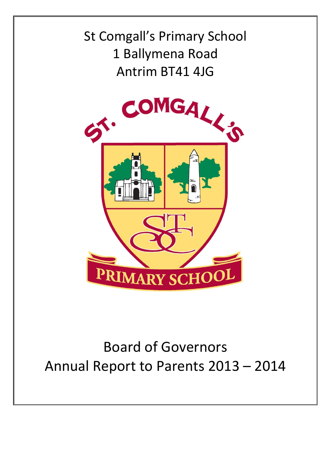## St Comgall's Primary School 1 Ballymena Road Antrim BT41 4JG



# Board of Governors Annual Report to Parents 2013 – 2014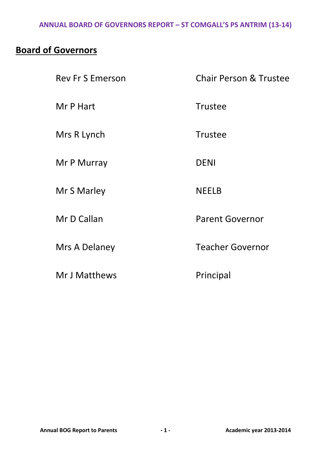### **Board of Governors**

| <b>Rev Fr S Emerson</b> | <b>Chair Person &amp; Trustee</b> |
|-------------------------|-----------------------------------|
| Mr P Hart               | <b>Trustee</b>                    |
| Mrs R Lynch             | <b>Trustee</b>                    |
| Mr P Murray             | <b>DENI</b>                       |
| Mr S Marley             | <b>NEELB</b>                      |
| Mr D Callan             | <b>Parent Governor</b>            |
| Mrs A Delaney           | <b>Teacher Governor</b>           |
| Mr J Matthews           | Principal                         |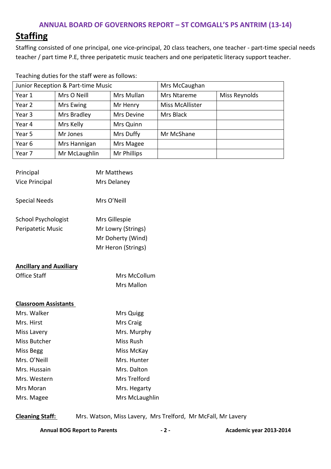### **Staffing**

Staffing consisted of one principal, one vice-principal, 20 class teachers, one teacher - part-time special needs teacher / part time P.E, three peripatetic music teachers and one peripatetic literacy support teacher.

| Teaching duties for the staff were as follows: |
|------------------------------------------------|
|------------------------------------------------|

| Junior Reception & Part-time Music |               | Mrs McCaughan |                        |               |
|------------------------------------|---------------|---------------|------------------------|---------------|
| Year 1                             | Mrs O Neill   | Mrs Mullan    | Mrs Ntareme            | Miss Reynolds |
| Year 2                             | Mrs Ewing     | Mr Henry      | <b>Miss McAllister</b> |               |
| Year 3                             | Mrs Bradley   | Mrs Devine    | Mrs Black              |               |
| Year 4                             | Mrs Kelly     | Mrs Quinn     |                        |               |
| Year 5                             | Mr Jones      | Mrs Duffy     | Mr McShane             |               |
| Year 6                             | Mrs Hannigan  | Mrs Magee     |                        |               |
| Year 7                             | Mr McLaughlin | Mr Phillips   |                        |               |

| Principal                                       | Mr Matthews                         |
|-------------------------------------------------|-------------------------------------|
| <b>Vice Principal</b>                           | Mrs Delaney                         |
| <b>Special Needs</b>                            | Mrs O'Neill                         |
| <b>School Psychologist</b><br>Peripatetic Music | Mrs Gillespie<br>Mr Lowry (Strings) |
|                                                 | Mr Doherty (Wind)                   |
|                                                 | Mr Heron (Strings)                  |
| <b>Ancillary and Auxiliary</b>                  |                                     |
| <b>Office Staff</b>                             | Mrs McCollum                        |
|                                                 | <b>Mrs Mallon</b>                   |
| <b>Classroom Assistants</b>                     |                                     |
| Mrs. Walker                                     | Mrs Quigg                           |
| Mrs. Hirst                                      | Mrs Craig                           |
| Miss Lavery                                     | Mrs. Murphy                         |
| Miss Butcher                                    | Miss Rush                           |
| Miss Begg                                       | Miss McKay                          |
| Mrs. O'Neill                                    | Mrs. Hunter                         |
| Mrs. Hussain                                    | Mrs. Dalton                         |
| Mrs. Western                                    | Mrs Trelford                        |
| Mrs Moran                                       | Mrs. Hegarty                        |
| Mrs. Magee                                      | Mrs McLaughlin                      |

#### **Cleaning Staff:** Mrs. Watson, Miss Lavery, Mrs Trelford, Mr McFall, Mr Lavery

**Annual BOG Report to Parents - 2 - Academic year 2013-2014**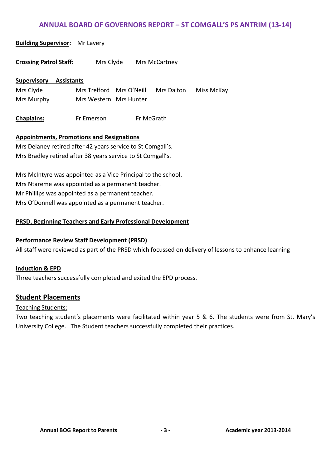| <b>Building Supervisor:</b>             | Mr Lavery              |             |               |            |
|-----------------------------------------|------------------------|-------------|---------------|------------|
| <b>Crossing Patrol Staff:</b>           | Mrs Clyde              |             | Mrs McCartney |            |
| <b>Supervisory</b><br><b>Assistants</b> |                        |             |               |            |
| Mrs Clyde                               | Mrs Trelford           | Mrs O'Neill | Mrs Dalton    | Miss McKay |
| Mrs Murphy                              | Mrs Western Mrs Hunter |             |               |            |
| <b>Chaplains:</b>                       | <b>Fr Emerson</b>      | Fr McGrath  |               |            |

#### **Appointments, Promotions and Resignations**

Mrs Delaney retired after 42 years service to St Comgall's. Mrs Bradley retired after 38 years service to St Comgall's.

Mrs McIntyre was appointed as a Vice Principal to the school. Mrs Ntareme was appointed as a permanent teacher. Mr Phillips was appointed as a permanent teacher. Mrs O'Donnell was appointed as a permanent teacher.

#### **PRSD, Beginning Teachers and Early Professional Development**

#### **Performance Review Staff Development (PRSD)**

All staff were reviewed as part of the PRSD which focussed on delivery of lessons to enhance learning

#### **Induction & EPD**

Three teachers successfully completed and exited the EPD process.

#### **Student Placements**

#### Teaching Students:

Two teaching student's placements were facilitated within year 5 & 6. The students were from St. Mary's University College. The Student teachers successfully completed their practices.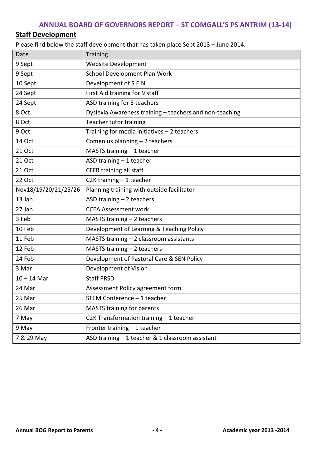#### **Staff Development**

Please find below the staff development that has taken place Sept 2013 – June 2014.

| Date                 | <b>Training</b>                                         |
|----------------------|---------------------------------------------------------|
| 9 Sept               | Website Development                                     |
| 9 Sept               | School Development Plan Work                            |
| 10 Sept              | Development of S.E.N.                                   |
| 24 Sept              | First Aid training for 9 staff                          |
| 24 Sept              | ASD training for 3 teachers                             |
| 8 Oct                | Dyslexia Awareness training - teachers and non-teaching |
| 8 Oct                | Teacher tutor training                                  |
| 9 Oct                | Training for media initiatives - 2 teachers             |
| <b>14 Oct</b>        | Comenius planning - 2 teachers                          |
| <b>21 Oct</b>        | MASTS training $-1$ teacher                             |
| 21 Oct               | ASD training $-1$ teacher                               |
| <b>21 Oct</b>        | CEFR training all staff                                 |
| 22 Oct               | $C2K$ training $-1$ teacher                             |
| Nov18/19/20/21/25/26 | Planning training with outside facilitator              |
| 13 Jan               | ASD training - 2 teachers                               |
| 27 Jan               | <b>CCEA Assessment work</b>                             |
| 3 Feb                | MASTS training $-2$ teachers                            |
| 10 Feb               | Development of Learning & Teaching Policy               |
| 11 Feb               | MASTS training - 2 classroom assistants                 |
| 12 Feb               | MASTS training $-2$ teachers                            |
| 24 Feb               | Development of Pastoral Care & SEN Policy               |
| 3 Mar                | Development of Vision                                   |
| $10 - 14$ Mar        | <b>Staff PRSD</b>                                       |
| 24 Mar               | Assessment Policy agreement form                        |
| 25 Mar               | STEM Conference - 1 teacher                             |
| 26 Mar               | <b>MASTS training for parents</b>                       |
| 7 May                | C2K Transformation training - 1 teacher                 |
| 9 May                | Fronter training - 1 teacher                            |
| 7 & 29 May           | ASD training - 1 teacher & 1 classroom assistant        |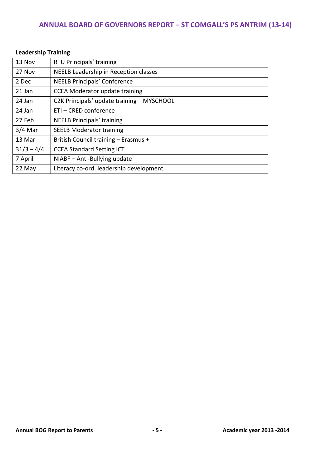#### **Leadership Training**

| 13 Nov       | RTU Principals' training                   |
|--------------|--------------------------------------------|
| 27 Nov       | NEELB Leadership in Reception classes      |
| 2 Dec        | <b>NEELB Principals' Conference</b>        |
| 21 Jan       | <b>CCEA Moderator update training</b>      |
| 24 Jan       | C2K Principals' update training - MYSCHOOL |
| 24 Jan       | ETI-CRED conference                        |
| 27 Feb       | <b>NEELB Principals' training</b>          |
| $3/4$ Mar    | <b>SEELB Moderator training</b>            |
| 13 Mar       | British Council training - Erasmus +       |
| $31/3 - 4/4$ | <b>CCEA Standard Setting ICT</b>           |
| 7 April      | NIABF - Anti-Bullying update               |
| 22 May       | Literacy co-ord. leadership development    |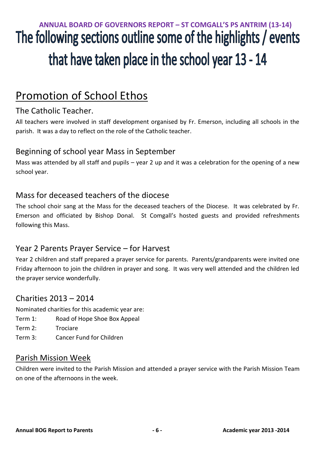# ANNUAL BOARD OF GOVERNORS REPORT – ST COMGALL'S PS ANTRIM (13-14)<br>The following sections outline some of the highlights / events that have taken place in the school year 13 - 14

### Promotion of School Ethos

#### The Catholic Teacher.

All teachers were involved in staff development organised by Fr. Emerson, including all schools in the parish. It was a day to reflect on the role of the Catholic teacher.

#### Beginning of school year Mass in September

Mass was attended by all staff and pupils – year 2 up and it was a celebration for the opening of a new school year.

#### Mass for deceased teachers of the diocese

The school choir sang at the Mass for the deceased teachers of the Diocese. It was celebrated by Fr. Emerson and officiated by Bishop Donal. St Comgall's hosted guests and provided refreshments following this Mass.

#### Year 2 Parents Prayer Service – for Harvest

Year 2 children and staff prepared a prayer service for parents. Parents/grandparents were invited one Friday afternoon to join the children in prayer and song. It was very well attended and the children led the prayer service wonderfully.

#### Charities 2013 – 2014

Nominated charities for this academic year are:

- Term 1: Road of Hope Shoe Box Appeal
- Term 2: Trociare
- Term 3: Cancer Fund for Children

#### Parish Mission Week

Children were invited to the Parish Mission and attended a prayer service with the Parish Mission Team on one of the afternoons in the week.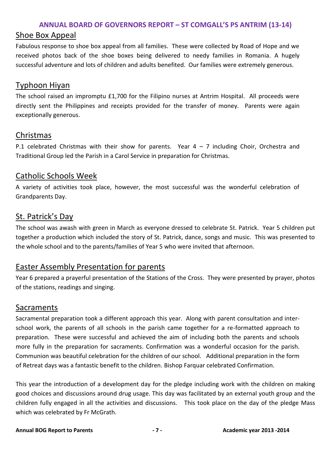#### Shoe Box Appeal

Fabulous response to shoe box appeal from all families. These were collected by Road of Hope and we received photos back of the shoe boxes being delivered to needy families in Romania. A hugely successful adventure and lots of children and adults benefited. Our families were extremely generous.

#### Typhoon Hiyan

The school raised an impromptu £1,700 for the Filipino nurses at Antrim Hospital. All proceeds were directly sent the Philippines and receipts provided for the transfer of money. Parents were again exceptionally generous.

#### Christmas

P.1 celebrated Christmas with their show for parents. Year  $4 - 7$  including Choir, Orchestra and Traditional Group led the Parish in a Carol Service in preparation for Christmas.

#### Catholic Schools Week

A variety of activities took place, however, the most successful was the wonderful celebration of Grandparents Day.

#### St. Patrick's Day

The school was awash with green in March as everyone dressed to celebrate St. Patrick. Year 5 children put together a production which included the story of St. Patrick, dance, songs and music. This was presented to the whole school and to the parents/families of Year 5 who were invited that afternoon.

#### Easter Assembly Presentation for parents

Year 6 prepared a prayerful presentation of the Stations of the Cross. They were presented by prayer, photos of the stations, readings and singing.

#### **Sacraments**

Sacramental preparation took a different approach this year. Along with parent consultation and interschool work, the parents of all schools in the parish came together for a re-formatted approach to preparation. These were successful and achieved the aim of including both the parents and schools more fully in the preparation for sacraments. Confirmation was a wonderful occasion for the parish. Communion was beautiful celebration for the children of our school. Additional preparation in the form of Retreat days was a fantastic benefit to the children. Bishop Farquar celebrated Confirmation.

This year the introduction of a development day for the pledge including work with the children on making good choices and discussions around drug usage. This day was facilitated by an external youth group and the children fully engaged in all the activities and discussions. This took place on the day of the pledge Mass which was celebrated by Fr McGrath.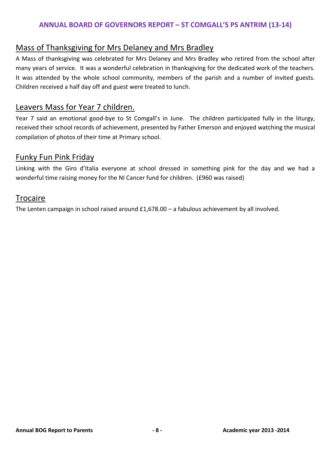#### Mass of Thanksgiving for Mrs Delaney and Mrs Bradley

A Mass of thanksgiving was celebrated for Mrs Delaney and Mrs Bradley who retired from the school after many years of service. It was a wonderful celebration in thanksgiving for the dedicated work of the teachers. It was attended by the whole school community, members of the parish and a number of invited guests. Children received a half day off and guest were treated to lunch.

#### Leavers Mass for Year 7 children.

Year 7 said an emotional good-bye to St Comgall's in June. The children participated fully in the liturgy, received their school records of achievement, presented by Father Emerson and enjoyed watching the musical compilation of photos of their time at Primary school.

#### Funky Fun Pink Friday

Linking with the Giro d'Italia everyone at school dressed in something pink for the day and we had a wonderful time raising money for the NI Cancer fund for children. (£960 was raised)

#### **Trocaire**

The Lenten campaign in school raised around £1,678.00 – a fabulous achievement by all involved.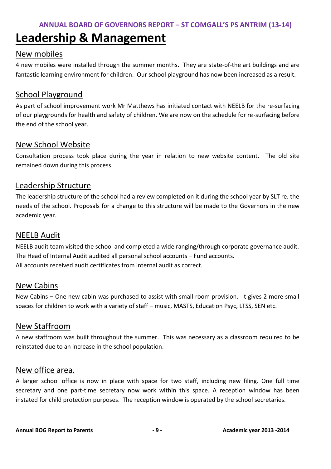### **Leadership & Management**

#### New mobiles

4 new mobiles were installed through the summer months. They are state-of-the art buildings and are fantastic learning environment for children. Our school playground has now been increased as a result.

#### School Playground

As part of school improvement work Mr Matthews has initiated contact with NEELB for the re-surfacing of our playgrounds for health and safety of children. We are now on the schedule for re-surfacing before the end of the school year.

#### New School Website

Consultation process took place during the year in relation to new website content. The old site remained down during this process.

#### Leadership Structure

The leadership structure of the school had a review completed on it during the school year by SLT re. the needs of the school. Proposals for a change to this structure will be made to the Governors in the new academic year.

#### NEELB Audit

NEELB audit team visited the school and completed a wide ranging/through corporate governance audit. The Head of Internal Audit audited all personal school accounts – Fund accounts. All accounts received audit certificates from internal audit as correct.

#### New Cabins

New Cabins – One new cabin was purchased to assist with small room provision. It gives 2 more small spaces for children to work with a variety of staff – music, MASTS, Education Psyc, LTSS, SEN etc.

#### New Staffroom

A new staffroom was built throughout the summer. This was necessary as a classroom required to be reinstated due to an increase in the school population.

#### New office area.

A larger school office is now in place with space for two staff, including new filing. One full time secretary and one part-time secretary now work within this space. A reception window has been instated for child protection purposes. The reception window is operated by the school secretaries.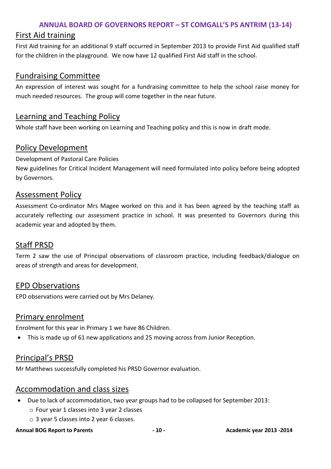#### First Aid training

First Aid training for an additional 9 staff occurred in September 2013 to provide First Aid qualified staff for the children in the playground. We now have 12 qualified First Aid staff in the school.

#### Fundraising Committee

An expression of interest was sought for a fundraising committee to help the school raise money for much needed resources. The group will come together in the near future.

#### Learning and Teaching Policy

Whole staff have been working on Learning and Teaching policy and this is now in draft mode.

#### Policy Development

#### Development of Pastoral Care Policies

New guidelines for Critical Incident Management will need formulated into policy before being adopted by Governors.

#### Assessment Policy

Assessment Co-ordinator Mrs Magee worked on this and it has been agreed by the teaching staff as accurately reflecting our assessment practice in school. It was presented to Governors during this academic year and adopted by them.

#### Staff PRSD

Term 2 saw the use of Principal observations of classroom practice, including feedback/dialogue on areas of strength and areas for development.

#### EPD Observations

EPD observations were carried out by Mrs Delaney.

#### Primary enrolment

Enrolment for this year in Primary 1 we have 86 Children.

This is made up of 61 new applications and 25 moving across from Junior Reception.

#### Principal's PRSD

Mr Matthews successfully completed his PRSD Governor evaluation.

#### Accommodation and class sizes

- Due to lack of accommodation, two year groups had to be collapsed for September 2013:
	- o Four year 1 classes into 3 year 2 classes
	- o 3 year 5 classes into 2 year 6 classes.

#### **Annual BOG Report to Parents - 10 - Academic year 2013 -2014**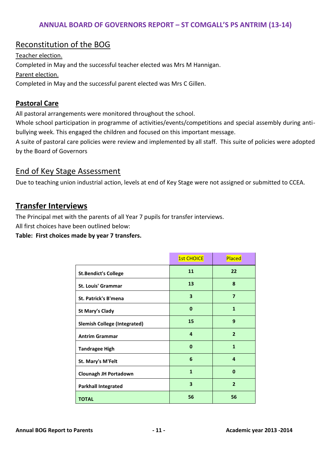#### Reconstitution of the BOG

Teacher election. Completed in May and the successful teacher elected was Mrs M Hannigan. Parent election. Completed in May and the successful parent elected was Mrs C Gillen.

#### **Pastoral Care**

All pastoral arrangements were monitored throughout the school.

Whole school participation in programme of activities/events/competitions and special assembly during antibullying week. This engaged the children and focused on this important message.

A suite of pastoral care policies were review and implemented by all staff. This suite of policies were adopted by the Board of Governors

#### End of Key Stage Assessment

Due to teaching union industrial action, levels at end of Key Stage were not assigned or submitted to CCEA.

#### **Transfer Interviews**

The Principal met with the parents of all Year 7 pupils for transfer interviews.

All first choices have been outlined below:

**Table: First choices made by year 7 transfers.**

|                                     | <b>1st CHOICE</b> | Placed                  |
|-------------------------------------|-------------------|-------------------------|
| <b>St.Bendict's College</b>         | 11                | 22                      |
| <b>St. Louis' Grammar</b>           | 13                | 8                       |
| <b>St. Patrick's B'mena</b>         | 3                 | $\overline{\mathbf{z}}$ |
| St Mary's Clady                     | 0                 | $\mathbf{1}$            |
| <b>Slemish College (Integrated)</b> | 15                | 9                       |
| <b>Antrim Grammar</b>               | 4                 | $\overline{2}$          |
| <b>Tandragee High</b>               | 0                 | $\mathbf{1}$            |
| St. Mary's M'Felt                   | 6                 | 4                       |
| <b>Clounagh JH Portadown</b>        | $\mathbf{1}$      | $\bf{0}$                |
| <b>Parkhall Integrated</b>          | 3                 | $\overline{2}$          |
| <b>TOTAL</b>                        | 56                | 56                      |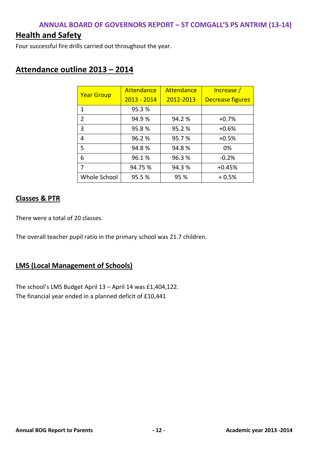#### **Health and Safety**

Four successful fire drills carried out throughout the year.

#### **Attendance outline 2013 – 2014**

| <b>Year Group</b> | Attendance    | Attendance | Increase /              |
|-------------------|---------------|------------|-------------------------|
|                   | $2013 - 2014$ | 2012-2013  | <b>Decrease figures</b> |
| 1                 | 95.3%         |            |                         |
| $\mathcal{P}$     | 94.9%         | 94.2 %     | $+0.7%$                 |
| 3                 | 95.8%         | 95.2%      | $+0.6%$                 |
| 4                 | 96.2%         | 95.7%      | $+0.5%$                 |
| 5                 | 94.8%         | 94.8%      | 0%                      |
| 6                 | 96.1%         | 96.3%      | $-0.2%$                 |
| 7                 | 94.75 %       | 94.3 %     | $+0.45%$                |
| Whole School      | 95.5%         | 95 %       | $+0.5%$                 |

#### **Classes & PTR**

There were a total of 20 classes.

The overall teacher pupil ratio in the primary school was 21.7 children.

#### **LMS (Local Management of Schools)**

The school's LMS Budget April 13 – April 14 was £1,404,122. The financial year ended in a planned deficit of £10,441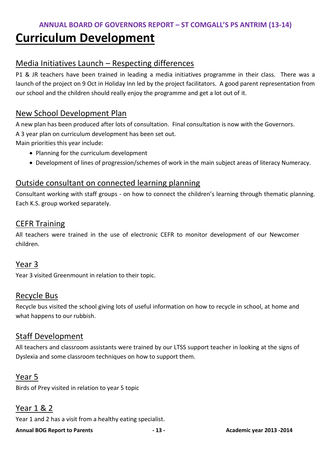### **Curriculum Development**

#### Media Initiatives Launch – Respecting differences

P1 & JR teachers have been trained in leading a media initiatives programme in their class. There was a launch of the project on 9 Oct in Holiday Inn led by the project facilitators. A good parent representation from our school and the children should really enjoy the programme and get a lot out of it.

#### New School Development Plan

A new plan has been produced after lots of consultation. Final consultation is now with the Governors.

A 3 year plan on curriculum development has been set out.

Main priorities this year include:

- Planning for the curriculum development
- Development of lines of progression/schemes of work in the main subject areas of literacy Numeracy.

#### Outside consultant on connected learning planning

Consultant working with staff groups - on how to connect the children's learning through thematic planning. Each K.S. group worked separately.

#### CEFR Training

All teachers were trained in the use of electronic CEFR to monitor development of our Newcomer children.

#### Year 3

Year 3 visited Greenmount in relation to their topic.

#### Recycle Bus

Recycle bus visited the school giving lots of useful information on how to recycle in school, at home and what happens to our rubbish.

#### Staff Development

All teachers and classroom assistants were trained by our LTSS support teacher in looking at the signs of Dyslexia and some classroom techniques on how to support them.

#### Year 5

Birds of Prey visited in relation to year 5 topic

#### Year 1 & 2

Year 1 and 2 has a visit from a healthy eating specialist.

#### **Annual BOG Report to Parents - 13 - Academic year 2013 -2014**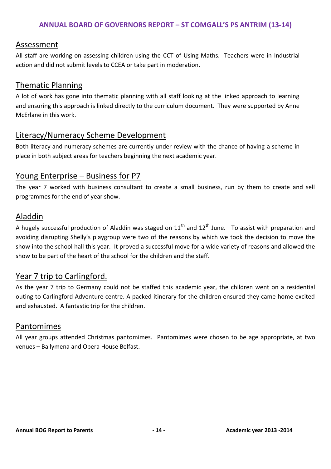#### Assessment

All staff are working on assessing children using the CCT of Using Maths. Teachers were in Industrial action and did not submit levels to CCEA or take part in moderation.

#### Thematic Planning

A lot of work has gone into thematic planning with all staff looking at the linked approach to learning and ensuring this approach is linked directly to the curriculum document. They were supported by Anne McErlane in this work.

#### Literacy/Numeracy Scheme Development

Both literacy and numeracy schemes are currently under review with the chance of having a scheme in place in both subject areas for teachers beginning the next academic year.

#### Young Enterprise – Business for P7

The year 7 worked with business consultant to create a small business, run by them to create and sell programmes for the end of year show.

#### Aladdin

A hugely successful production of Aladdin was staged on  $11<sup>th</sup>$  and  $12<sup>th</sup>$  June. To assist with preparation and avoiding disrupting Shelly's playgroup were two of the reasons by which we took the decision to move the show into the school hall this year. It proved a successful move for a wide variety of reasons and allowed the show to be part of the heart of the school for the children and the staff.

#### Year 7 trip to Carlingford.

As the year 7 trip to Germany could not be staffed this academic year, the children went on a residential outing to Carlingford Adventure centre. A packed itinerary for the children ensured they came home excited and exhausted. A fantastic trip for the children.

#### Pantomimes

All year groups attended Christmas pantomimes. Pantomimes were chosen to be age appropriate, at two venues – Ballymena and Opera House Belfast.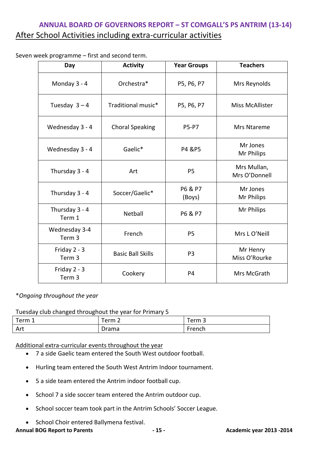#### **ANNUAL BOARD OF GOVERNORS REPORT – ST COMGALL'S PS ANTRIM (13-14)** After School Activities including extra-curricular activities

Seven week programme – first and second term.

| Day                                 | <b>Activity</b>          | <b>Year Groups</b> | <b>Teachers</b>              |
|-------------------------------------|--------------------------|--------------------|------------------------------|
| Monday 3 - 4                        | Orchestra*               | P5, P6, P7         | Mrs Reynolds                 |
| Tuesday $3-4$                       | Traditional music*       | P5, P6, P7         | <b>Miss McAllister</b>       |
| Wednesday 3 - 4                     | <b>Choral Speaking</b>   | <b>P5-P7</b>       | <b>Mrs Ntareme</b>           |
| Wednesday 3 - 4                     | Gaelic*                  | P4 & P5            | Mr Jones<br>Mr Philips       |
| Thursday 3 - 4                      | Art                      | P <sub>5</sub>     | Mrs Mullan,<br>Mrs O'Donnell |
| Thursday 3 - 4                      | Soccer/Gaelic*           | P6 & P7<br>(Boys)  | Mr Jones<br>Mr Philips       |
| Thursday 3 - 4<br>Term 1            | Netball                  | P6 & P7            | Mr Philips                   |
| Wednesday 3-4<br>Term 3             | French                   | P <sub>5</sub>     | Mrs L O'Neill                |
| Friday $2 - 3$<br>Term 3            | <b>Basic Ball Skills</b> | P <sub>3</sub>     | Mr Henry<br>Miss O'Rourke    |
| Friday $2 - 3$<br>Term <sub>3</sub> | Cookery                  | P <sub>4</sub>     | Mrs McGrath                  |

\**Ongoing throughout the year*

Tuesday club changed throughout the year for Primary 5

| $Term_1$ | Term 2 | ັerm 3             |
|----------|--------|--------------------|
| Art      | Drama  | <sup>-</sup> rench |

Additional extra-curricular events throughout the year

- 7 a side Gaelic team entered the South West outdoor football.
- Hurling team entered the South West Antrim Indoor tournament.
- 5 a side team entered the Antrim indoor football cup.
- School 7 a side soccer team entered the Antrim outdoor cup.
- School soccer team took part in the Antrim Schools' Soccer League.
- School Choir entered Ballymena festival.

#### **Annual BOG Report to Parents - 15 - Academic year 2013 -2014**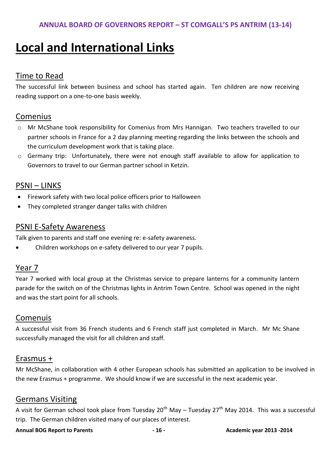### **Local and International Links**

#### Time to Read

The successful link between business and school has started again. Ten children are now receiving reading support on a one-to-one basis weekly.

#### Comenius

- o Mr McShane took responsibility for Comenius from Mrs Hannigan. Two teachers travelled to our partner schools in France for a 2 day planning meeting regarding the links between the schools and the curriculum development work that is taking place.
- o Germany trip: Unfortunately, there were not enough staff available to allow for application to Governors to travel to our German partner school in Ketzin.

#### PSNI – LINKS

- Firework safety with two local police officers prior to Halloween
- They completed stranger danger talks with children

#### PSNI E-Safety Awareness

Talk given to parents and staff one evening re: e-safety awareness.

Children workshops on e-safety delivered to our year 7 pupils.

#### Year 7

Year 7 worked with local group at the Christmas service to prepare lanterns for a community lantern parade for the switch on of the Christmas lights in Antrim Town Centre. School was opened in the night and was the start point for all schools.

#### **Comenuis**

A successful visit from 36 French students and 6 French staff just completed in March. Mr Mc Shane successfully managed the visit for all children and staff.

#### Erasmus +

Mr McShane, in collaboration with 4 other European schools has submitted an application to be involved in the new Erasmus + programme. We should know if we are successful in the next academic year.

#### Germans Visiting

A visit for German school took place from Tuesday  $20^{th}$  May – Tuesday  $27^{th}$  May 2014. This was a successful trip. The German children visited many of our places of interest.

#### **Annual BOG Report to Parents - 16 - Academic year 2013 -2014**